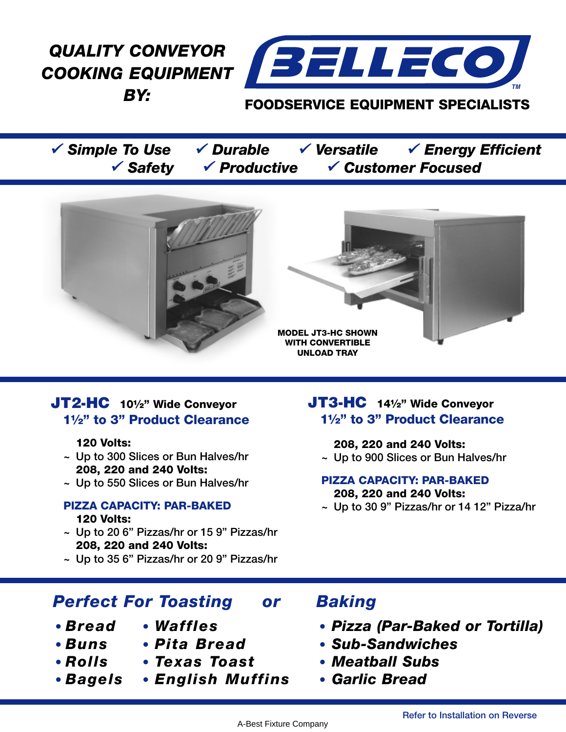*QUALITY CONVEYOR COOKING EQUIPMENT BY:*



## **FOODSERVICE EQUIPMENT SPECIALISTS**

<sup>9</sup> *Simple To Use* 9 *Durable* 9 *Versatile* 9 *Energy Efficient* <sup>9</sup> *Safety* 9 *Productive* 9 *Customer Focused*





# **JT2-HC 10½" Wide Conveyor 1½" to 3" Product Clearance**

### **120 Volts:**

- **~ Up to 300 Slices or Bun Halves/hr 208, 220 and 240 Volts:**
- **~ Up to 550 Slices or Bun Halves/hr**

# **PIZZA CAPACITY: PAR-BAKED**

### **120 Volts:**

- **~ Up to 20 6" Pizzas/hr or 15 9" Pizzas/hr 208, 220 and 240 Volts:**
- **~ Up to 35 6" Pizzas/hr or 20 9" Pizzas/hr**

# *Perfect For Toasting or Baking*

- 
- 
- 
- 
- **•** *Rolls* **•** *Texas Toast* **•** *Meatball Subs*
- 
- 

# **JT3-HC 14½" Wide Conveyor 1½" to 3" Product Clearance**

#### **208, 220 and 240 Volts: ~ Up to 900 Slices or Bun Halves/hr**

### **PIZZA CAPACITY: PAR-BAKED 208, 220 and 240 Volts:**

**~ Up to 30 9" Pizzas/hr or 14 12" Pizza/hr**

- **•** *Bread* **•** *Waffles* **•** *Pizza (Par-Baked or Tortilla)*
- **•** *Buns* **•** *Pita Bread* **•** *Sub-Sandwiches*
	-
- **•** *Bagels* **•** *English Muffins* **•** *Garlic Bread*